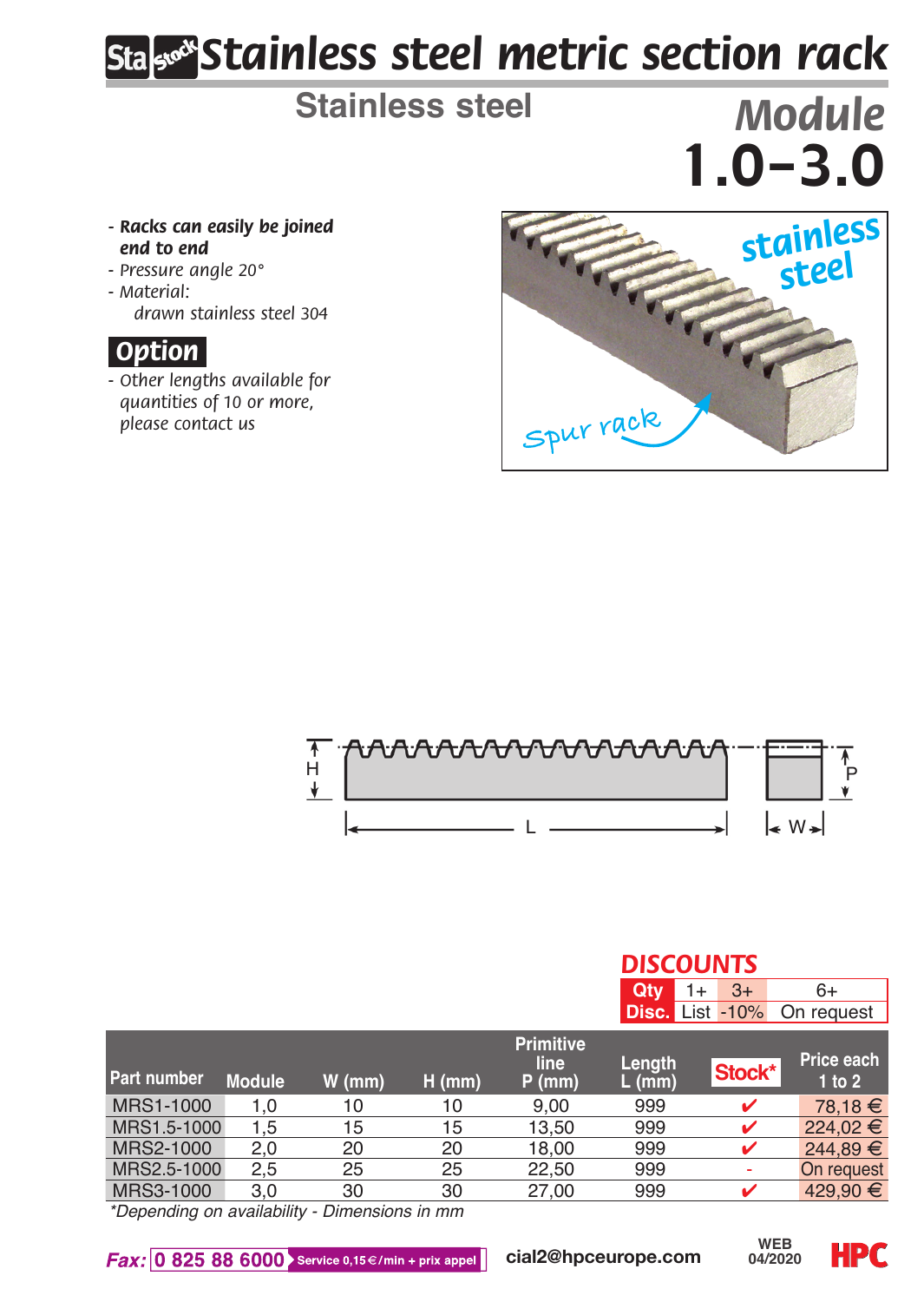# *Stainless steel metric section rack*

**Stainless steel** *Module*

#### *- Racks can easily be joined end to end*

- *Pressure angle 20°*
- *Material: drawn stainless steel 304*

### *.Option.*

*- Other lengths available for quantities of 10 or more,* 



*DISCOUNTS*



|                    |               |          |                              |                                      | Qtv              | $3+$<br>$1+$           | $6+$                 |  |  |
|--------------------|---------------|----------|------------------------------|--------------------------------------|------------------|------------------------|----------------------|--|--|
|                    |               |          |                              |                                      |                  | <b>Disc.</b> List -10% | On request           |  |  |
| <b>Part number</b> | <b>Module</b> | $W$ (mm) | $H$ (mm)                     | <b>Primitive</b><br>line<br>$P$ (mm) | Length<br>L (mm) | Stock*                 | Price each<br>1 to 2 |  |  |
| MRS1-1000          | 1.0           | 10       | 10                           | 9.00                                 | 999              | ✓                      | 78.18 €              |  |  |
| MRS1.5-1000        | 1.5           | 15       | 15                           | 13.50                                | 999              | ✓                      | 224,02€              |  |  |
| MRS2-1000          | 2.0           | 20       | 20                           | 18.00                                | 999              | ✓                      | 244.89 €             |  |  |
| MRS2.5-1000        | $2.5\,$       | 25       | 25                           | 22.50                                | 999              | ۰                      | On request           |  |  |
| MRS3-1000          | 3.0           | 30       | 30                           | 27.00                                | 999              | ✓                      | 429.90 €             |  |  |
|                    |               |          | Police and alleged the names |                                      |                  |                        |                      |  |  |

*\*Depending on availability - Dimensions in mm*

Fax: 0 825 88 6000 Service 0,15€/min + prix appel